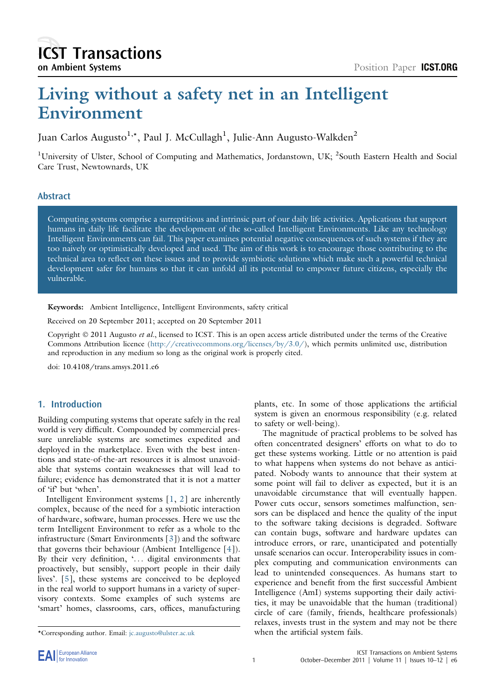# Living without a safety net in an Intelligent Environment

Juan Carlos Augusto<sup>1,</sup>\*, Paul J. McCullagh<sup>1</sup>, Julie-Ann Augusto-Walkden<sup>2</sup>

<sup>1</sup>University of Ulster, School of Computing and Mathematics, Jordanstown, UK; <sup>2</sup>South Eastern Health and Social Care Trust, Newtownards, UK

# Abstract

Computing systems comprise a surreptitious and intrinsic part of our daily life activities. Applications that support humans in daily life facilitate the development of the so-called Intelligent Environments. Like any technology Intelligent Environments can fail. This paper examines potential negative consequences of such systems if they are too naively or optimistically developed and used. The aim of this work is to encourage those contributing to the technical area to reflect on these issues and to provide symbiotic solutions which make such a powerful technical development safer for humans so that it can unfold all its potential to empower future citizens, especially the vulnerable.

Keywords: Ambient Intelligence, Intelligent Environments, safety critical

Received on 20 September 2011; accepted on 20 September 2011

Copyright © 2011 Augusto et al., licensed to ICST. This is an open access article distributed under the terms of the Creative Commons Attribution licence ([http://creativecommons.org/licenses/by/3.0/\)](http://creativecommons.org/licences/by/3.0/), which permits unlimited use, distribution and reproduction in any medium so long as the original work is properly cited.

doi: 10.4108/trans.amsys.2011.e6

## 1. Introduction

Building computing systems that operate safely in the real world is very difficult. Compounded by commercial pressure unreliable systems are sometimes expedited and deployed in the marketplace. Even with the best intentions and state-of-the-art resources it is almost unavoidable that systems contain weaknesses that will lead to failure; evidence has demonstrated that it is not a matter of 'if' but 'when'.

Intelligent Environment systems [[1](#page-7-0), [2\]](#page-7-0) are inherently complex, because of the need for a symbiotic interaction of hardware, software, human processes. Here we use the term Intelligent Environment to refer as a whole to the infrastructure (Smart Environments [\[3\]](#page-7-0)) and the software that governs their behaviour (Ambient Intelligence [[4\]](#page-7-0)). By their very definition, '... digital environments that proactively, but sensibly, support people in their daily lives'. [[5](#page-7-0)], these systems are conceived to be deployed in the real world to support humans in a variety of supervisory contexts. Some examples of such systems are 'smart' homes, classrooms, cars, offices, manufacturing plants, etc. In some of those applications the artificial system is given an enormous responsibility (e.g. related to safety or well-being).

The magnitude of practical problems to be solved has often concentrated designers' efforts on what to do to get these systems working. Little or no attention is paid to what happens when systems do not behave as anticipated. Nobody wants to announce that their system at some point will fail to deliver as expected, but it is an unavoidable circumstance that will eventually happen. Power cuts occur, sensors sometimes malfunction, sensors can be displaced and hence the quality of the input to the software taking decisions is degraded. Software can contain bugs, software and hardware updates can introduce errors, or rare, unanticipated and potentially unsafe scenarios can occur. Interoperability issues in complex computing and communication environments can lead to unintended consequences. As humans start to experience and benefit from the first successful Ambient Intelligence (AmI) systems supporting their daily activities, it may be unavoidable that the human (traditional) circle of care (family, friends, healthcare professionals) relaxes, invests trust in the system and may not be there

<sup>\*</sup>Corresponding author. Email: [jc.augusto@ulster.ac.uk](mailto:jc.augusto@ulster.ac.uk) when the artificial system fails.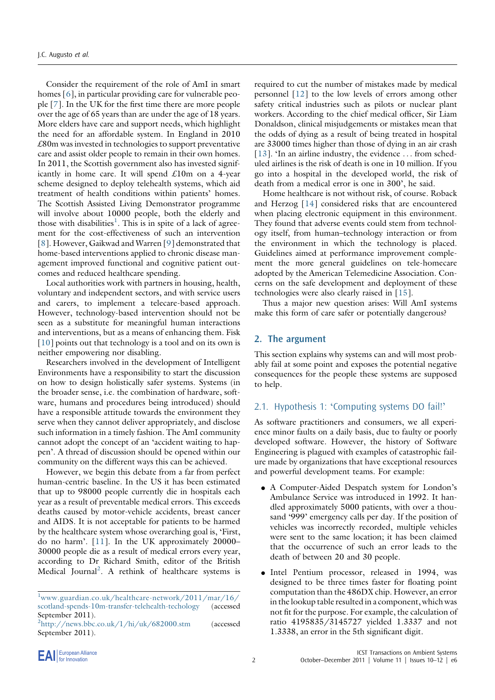Consider the requirement of the role of AmI in smart homes [\[6](#page-7-0)], in particular providing care for vulnerable people [\[7](#page-7-0)]. In the UK for the first time there are more people over the age of 65 years than are under the age of 18 years. More elders have care and support needs, which highlight the need for an affordable system. In England in 2010 £80m was invested in technologies to support preventative care and assist older people to remain in their own homes. In 2011, the Scottish government also has invested significantly in home care. It will spend  $£10m$  on a 4-year scheme designed to deploy telehealth systems, which aid treatment of health conditions within patients' homes. The Scottish Assisted Living Demonstrator programme will involve about 10000 people, both the elderly and those with disabilities<sup>1</sup>. This is in spite of a lack of agreement for the cost-effectiveness of such an intervention [\[8\]](#page-7-0). However, Gaikwad and Warren [\[9](#page-7-0)] demonstrated that home-based interventions applied to chronic disease management improved functional and cognitive patient outcomes and reduced healthcare spending.

Local authorities work with partners in housing, health, voluntary and independent sectors, and with service users and carers, to implement a telecare-based approach. However, technology-based intervention should not be seen as a substitute for meaningful human interactions and interventions, but as a means of enhancing them. Fisk [\[10\]](#page-7-0) points out that technology is a tool and on its own is neither empowering nor disabling.

Researchers involved in the development of Intelligent Environments have a responsibility to start the discussion on how to design holistically safer systems. Systems (in the broader sense, i.e. the combination of hardware, software, humans and procedures being introduced) should have a responsible attitude towards the environment they serve when they cannot deliver appropriately, and disclose such information in a timely fashion. The AmI community cannot adopt the concept of an 'accident waiting to happen'. A thread of discussion should be opened within our community on the different ways this can be achieved.

However, we begin this debate from a far from perfect human-centric baseline. In the US it has been estimated that up to 98000 people currently die in hospitals each year as a result of preventable medical errors. This exceeds deaths caused by motor-vehicle accidents, breast cancer and AIDS. It is not acceptable for patients to be harmed by the healthcare system whose overarching goal is, 'First, do no harm'. [[11\]](#page-7-0). In the UK approximately 20000– 30000 people die as a result of medical errors every year, according to Dr Richard Smith, editor of the British Medical Journal<sup>2</sup>. A rethink of healthcare systems is

required to cut the number of mistakes made by medical personnel [\[12\]](#page-7-0) to the low levels of errors among other safety critical industries such as pilots or nuclear plant workers. According to the chief medical officer, Sir Liam Donaldson, clinical misjudgements or mistakes mean that the odds of dying as a result of being treated in hospital are 33000 times higher than those of dying in an air crash [\[13](#page-7-0)]. 'In an airline industry, the evidence ... from scheduled airlines is the risk of death is one in 10 million. If you go into a hospital in the developed world, the risk of death from a medical error is one in 300', he said.

Home healthcare is not without risk, of course. Roback and Herzog [[14](#page-7-0)] considered risks that are encountered when placing electronic equipment in this environment. They found that adverse events could stem from technology itself, from human–technology interaction or from the environment in which the technology is placed. Guidelines aimed at performance improvement complement the more general guidelines on tele-homecare adopted by the American Telemedicine Association. Concerns on the safe development and deployment of these technologies were also clearly raised in [\[15](#page-8-0)].

Thus a major new question arises: Will AmI systems make this form of care safer or potentially dangerous?

#### 2. The argument

This section explains why systems can and will most probably fail at some point and exposes the potential negative consequences for the people these systems are supposed to help.

#### 2.1. Hypothesis 1: 'Computing systems DO fail!'

As software practitioners and consumers, we all experience minor faults on a daily basis, due to faulty or poorly developed software. However, the history of Software Engineering is plagued with examples of catastrophic failure made by organizations that have exceptional resources and powerful development teams. For example:

- A Computer-Aided Despatch system for London's Ambulance Service was introduced in 1992. It handled approximately 5000 patients, with over a thousand '999' emergency calls per day. If the position of vehicles was incorrectly recorded, multiple vehicles were sent to the same location; it has been claimed that the occurrence of such an error leads to the death of between 20 and 30 people.
- <sup>d</sup> Intel Pentium processor, released in 1994, was designed to be three times faster for floating point computation than the 486DX chip. However, an error in the lookup table resulted in a component, which was not fit for the purpose. For example, the calculation of ratio 4195835/3145727 yielded 1.3337 and not 1.3338, an error in the 5th significant digit.

<sup>1</sup> [www.guardian.co.uk/healthcare-network/2011/mar/16/](http://www.guardian.co.uk/healthcare-network/2011/mar/16/scotland-spends-10m-transfer-telehealth-techology) [scotland-spends-10m-transfer-telehealth-techology](http://www.guardian.co.uk/healthcare-network/2011/mar/16/scotland-spends-10m-transfer-telehealth-techology) (accessed September 2011).

<sup>2</sup> <http://news.bbc.co.uk/1/hi/uk/682000.stm> (accessed September 2011).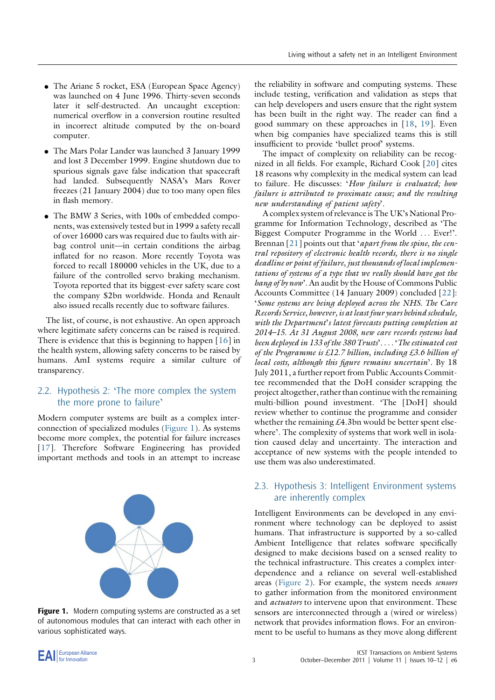- The Ariane 5 rocket, ESA (European Space Agency) was launched on 4 June 1996. Thirty-seven seconds later it self-destructed. An uncaught exception: numerical overflow in a conversion routine resulted in incorrect altitude computed by the on-board computer.
- The Mars Polar Lander was launched 3 January 1999 and lost 3 December 1999. Engine shutdown due to spurious signals gave false indication that spacecraft had landed. Subsequently NASA's Mars Rover freezes (21 January 2004) due to too many open files in flash memory.
- The BMW 3 Series, with 100s of embedded components, was extensively tested but in 1999 a safety recall of over 16000 cars was required due to faults with airbag control unit—in certain conditions the airbag inflated for no reason. More recently Toyota was forced to recall 180000 vehicles in the UK, due to a failure of the controlled servo braking mechanism. Toyota reported that its biggest-ever safety scare cost the company \$2bn worldwide. Honda and Renault also issued recalls recently due to software failures.

The list, of course, is not exhaustive. An open approach where legitimate safety concerns can be raised is required. There is evidence that this is beginning to happen [\[16](#page-8-0)] in the health system, allowing safety concerns to be raised by humans. AmI systems require a similar culture of transparency.

# 2.2. Hypothesis 2: 'The more complex the system the more prone to failure'

Modern computer systems are built as a complex interconnection of specialized modules (Figure 1). As systems become more complex, the potential for failure increases [\[17\]](#page-8-0). Therefore Software Engineering has provided important methods and tools in an attempt to increase



Figure 1. Modern computing systems are constructed as a set of autonomous modules that can interact with each other in various sophisticated ways.

the reliability in software and computing systems. These include testing, verification and validation as steps that can help developers and users ensure that the right system has been built in the right way. The reader can find a good summary on these approaches in [\[18,](#page-8-0) [19](#page-8-0)]. Even when big companies have specialized teams this is still insufficient to provide 'bullet proof' systems.

The impact of complexity on reliability can be recognized in all fields. For example, Richard Cook [[20\]](#page-8-0) cites 18 reasons why complexity in the medical system can lead to failure. He discusses: 'How failure is evaluated; how failure is attributed to proximate cause; and the resulting new understanding of patient safety'.

A complex system of relevance is The UK's National Programme for Information Technology, described as 'The Biggest Computer Programme in the World ... Ever!'. Brennan [\[21](#page-8-0)] points out that 'apart from the spine, the central repository of electronic health records, there is no single deadline or point of failure, just thousands of local implementations of systems of a type that we really should have got the hang of by now'. An audit by the House of Commons Public Accounts Committee (14 January 2009) concluded [[22](#page-8-0)]: 'Some systems are being deployed across the NHS. The Care Records Service, however, is at least four years behind schedule, with the Department's latest forecasts putting completion at 2014–15. At 31 August 2008, new care records systems had been deployed in 133 of the 380 Trusts'. ... 'The estimated cost of the Programme is £12.7 billion, including £3.6 billion of local costs, although this figure remains uncertain'. By 18 July 2011, a further report from Public Accounts Committee recommended that the DoH consider scrapping the project altogether, rather than continue with the remaining multi-billion pound investment. 'The [DoH] should review whether to continue the programme and consider whether the remaining £4.3bn would be better spent elsewhere'. The complexity of systems that work well in isolation caused delay and uncertainty. The interaction and acceptance of new systems with the people intended to use them was also underestimated.

# 2.3. Hypothesis 3: Intelligent Environment systems are inherently complex

Intelligent Environments can be developed in any environment where technology can be deployed to assist humans. That infrastructure is supported by a so-called Ambient Intelligence that relates software specifically designed to make decisions based on a sensed reality to the technical infrastructure. This creates a complex interdependence and a reliance on several well-established areas ([Figure 2](#page-3-0)). For example, the system needs sensors to gather information from the monitored environment and actuators to intervene upon that environment. These sensors are interconnected through a (wired or wireless) network that provides information flows. For an environment to be useful to humans as they move along different

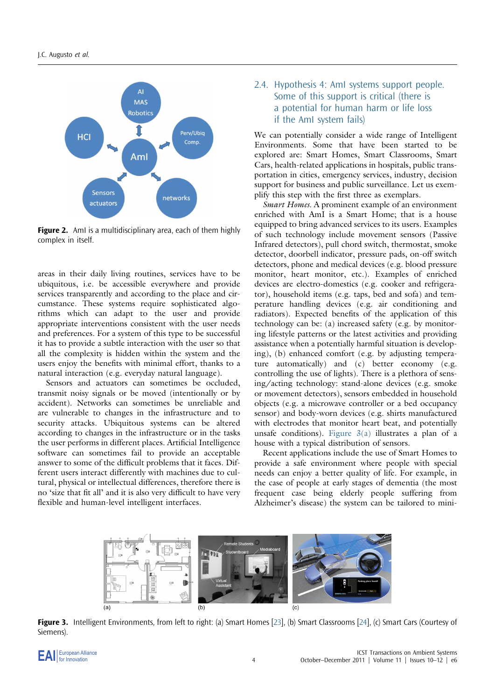<span id="page-3-0"></span>

**Figure 2.** AmI is a multidisciplinary area, each of them highly complex in itself.

areas in their daily living routines, services have to be ubiquitous, i.e. be accessible everywhere and provide services transparently and according to the place and circumstance. These systems require sophisticated algorithms which can adapt to the user and provide appropriate interventions consistent with the user needs and preferences. For a system of this type to be successful it has to provide a subtle interaction with the user so that all the complexity is hidden within the system and the users enjoy the benefits with minimal effort, thanks to a natural interaction (e.g. everyday natural language).

Sensors and actuators can sometimes be occluded, transmit noisy signals or be moved (intentionally or by accident). Networks can sometimes be unreliable and are vulnerable to changes in the infrastructure and to security attacks. Ubiquitous systems can be altered according to changes in the infrastructure or in the tasks the user performs in different places. Artificial Intelligence software can sometimes fail to provide an acceptable answer to some of the difficult problems that it faces. Different users interact differently with machines due to cultural, physical or intellectual differences, therefore there is no 'size that fit all' and it is also very difficult to have very flexible and human-level intelligent interfaces.

# 2.4. Hypothesis 4: AmI systems support people. Some of this support is critical (there is a potential for human harm or life loss if the AmI system fails)

We can potentially consider a wide range of Intelligent Environments. Some that have been started to be explored are: Smart Homes, Smart Classrooms, Smart Cars, health-related applications in hospitals, public transportation in cities, emergency services, industry, decision support for business and public surveillance. Let us exemplify this step with the first three as exemplars.

Smart Homes. A prominent example of an environment enriched with AmI is a Smart Home; that is a house equipped to bring advanced services to its users. Examples of such technology include movement sensors (Passive Infrared detectors), pull chord switch, thermostat, smoke detector, doorbell indicator, pressure pads, on-off switch detectors, phone and medical devices (e.g. blood pressure monitor, heart monitor, etc.). Examples of enriched devices are electro-domestics (e.g. cooker and refrigerator), household items (e.g. taps, bed and sofa) and temperature handling devices (e.g. air conditioning and radiators). Expected benefits of the application of this technology can be: (a) increased safety (e.g. by monitoring lifestyle patterns or the latest activities and providing assistance when a potentially harmful situation is developing), (b) enhanced comfort (e.g. by adjusting temperature automatically) and (c) better economy (e.g. controlling the use of lights). There is a plethora of sensing/acting technology: stand-alone devices (e.g. smoke or movement detectors), sensors embedded in household objects (e.g. a microwave controller or a bed occupancy sensor) and body-worn devices (e.g. shirts manufactured with electrodes that monitor heart beat, and potentially unsafe conditions). Figure  $3(a)$  illustrates a plan of a house with a typical distribution of sensors.

Recent applications include the use of Smart Homes to provide a safe environment where people with special needs can enjoy a better quality of life. For example, in the case of people at early stages of dementia (the most frequent case being elderly people suffering from Alzheimer's disease) the system can be tailored to mini-



Figure 3. Intelligent Environments, from left to right: (a) Smart Homes [\[23](#page-8-0)], (b) Smart Classrooms [\[24\]](#page-8-0), (c) Smart Cars (Courtesy of Siemens).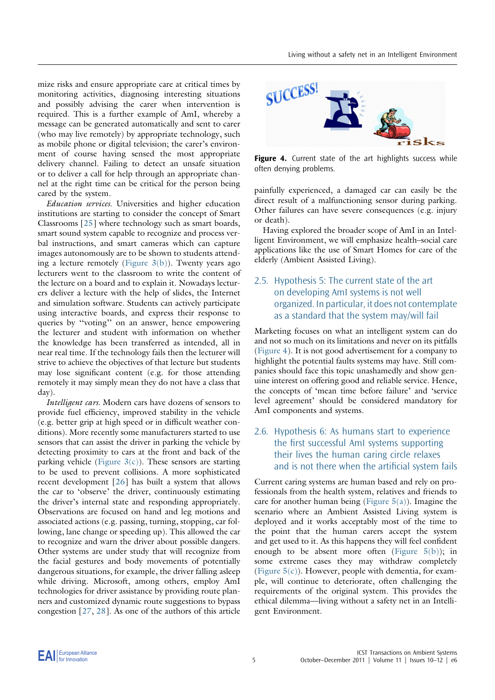mize risks and ensure appropriate care at critical times by monitoring activities, diagnosing interesting situations and possibly advising the carer when intervention is required. This is a further example of AmI, whereby a message can be generated automatically and sent to carer (who may live remotely) by appropriate technology, such as mobile phone or digital television; the carer's environment of course having sensed the most appropriate delivery channel. Failing to detect an unsafe situation or to deliver a call for help through an appropriate channel at the right time can be critical for the person being cared by the system.

Education services. Universities and higher education institutions are starting to consider the concept of Smart Classrooms [[25](#page-8-0)] where technology such as smart boards, smart sound system capable to recognize and process verbal instructions, and smart cameras which can capture images autonomously are to be shown to students attending a lecture remotely (Figure  $3(b)$ ). Twenty years ago lecturers went to the classroom to write the content of the lecture on a board and to explain it. Nowadays lecturers deliver a lecture with the help of slides, the Internet and simulation software. Students can actively participate using interactive boards, and express their response to queries by ''voting'' on an answer, hence empowering the lecturer and student with information on whether the knowledge has been transferred as intended, all in near real time. If the technology fails then the lecturer will strive to achieve the objectives of that lecture but students may lose significant content (e.g. for those attending remotely it may simply mean they do not have a class that day).

Intelligent cars. Modern cars have dozens of sensors to provide fuel efficiency, improved stability in the vehicle (e.g. better grip at high speed or in difficult weather conditions). More recently some manufacturers started to use sensors that can assist the driver in parking the vehicle by detecting proximity to cars at the front and back of the parking vehicle (Figure  $3(c)$ ). These sensors are starting to be used to prevent collisions. A more sophisticated recent development [\[26](#page-8-0)] has built a system that allows the car to 'observe' the driver, continuously estimating the driver's internal state and responding appropriately. Observations are focused on hand and leg motions and associated actions (e.g. passing, turning, stopping, car following, lane change or speeding up). This allowed the car to recognize and warn the driver about possible dangers. Other systems are under study that will recognize from the facial gestures and body movements of potentially dangerous situations, for example, the driver falling asleep while driving. Microsoft, among others, employ AmI technologies for driver assistance by providing route planners and customized dynamic route suggestions to bypass congestion [[27](#page-8-0), [28](#page-8-0)]. As one of the authors of this article



Figure 4. Current state of the art highlights success while often denying problems.

painfully experienced, a damaged car can easily be the direct result of a malfunctioning sensor during parking. Other failures can have severe consequences (e.g. injury or death).

Having explored the broader scope of AmI in an Intelligent Environment, we will emphasize health–social care applications like the use of Smart Homes for care of the elderly (Ambient Assisted Living).

# 2.5. Hypothesis 5: The current state of the art on developing AmI systems is not well organized. In particular, it does not contemplate as a standard that the system may/will fail

Marketing focuses on what an intelligent system can do and not so much on its limitations and never on its pitfalls (Figure 4). It is not good advertisement for a company to highlight the potential faults systems may have. Still companies should face this topic unashamedly and show genuine interest on offering good and reliable service. Hence, the concepts of 'mean time before failure' and 'service level agreement' should be considered mandatory for AmI components and systems.

# 2.6. Hypothesis 6: As humans start to experience the first successful AmI systems supporting their lives the human caring circle relaxes and is not there when the artificial system fails

Current caring systems are human based and rely on professionals from the health system, relatives and friends to care for another human being (Figure  $5(a)$ ). Imagine the scenario where an Ambient Assisted Living system is deployed and it works acceptably most of the time to the point that the human carers accept the system and get used to it. As this happens they will feel confident enough to be absent more often (Figure  $5(b)$ ); in some extreme cases they may withdraw completely (Figure  $5(c)$ ). However, people with dementia, for example, will continue to deteriorate, often challenging the requirements of the original system. This provides the ethical dilemma—living without a safety net in an Intelligent Environment.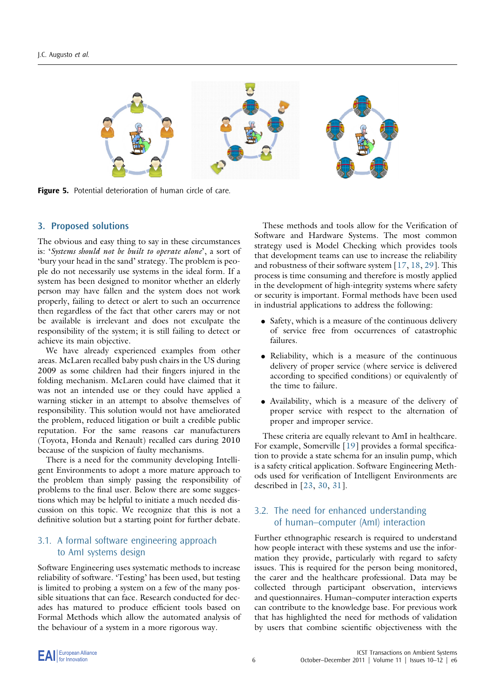<span id="page-5-0"></span>

Figure 5. Potential deterioration of human circle of care.

#### 3. Proposed solutions

The obvious and easy thing to say in these circumstances is: 'Systems should not be built to operate alone', a sort of 'bury your head in the sand' strategy. The problem is people do not necessarily use systems in the ideal form. If a system has been designed to monitor whether an elderly person may have fallen and the system does not work properly, failing to detect or alert to such an occurrence then regardless of the fact that other carers may or not be available is irrelevant and does not exculpate the responsibility of the system; it is still failing to detect or achieve its main objective.

We have already experienced examples from other areas. McLaren recalled baby push chairs in the US during 2009 as some children had their fingers injured in the folding mechanism. McLaren could have claimed that it was not an intended use or they could have applied a warning sticker in an attempt to absolve themselves of responsibility. This solution would not have ameliorated the problem, reduced litigation or built a credible public reputation. For the same reasons car manufacturers (Toyota, Honda and Renault) recalled cars during 2010 because of the suspicion of faulty mechanisms.

There is a need for the community developing Intelligent Environments to adopt a more mature approach to the problem than simply passing the responsibility of problems to the final user. Below there are some suggestions which may be helpful to initiate a much needed discussion on this topic. We recognize that this is not a definitive solution but a starting point for further debate.

## 3.1. A formal software engineering approach to AmI systems design

Software Engineering uses systematic methods to increase reliability of software. 'Testing' has been used, but testing is limited to probing a system on a few of the many possible situations that can face. Research conducted for decades has matured to produce efficient tools based on Formal Methods which allow the automated analysis of the behaviour of a system in a more rigorous way.

These methods and tools allow for the Verification of Software and Hardware Systems. The most common strategy used is Model Checking which provides tools that development teams can use to increase the reliability and robustness of their software system [[17](#page-8-0), [18,](#page-8-0) [29](#page-8-0)]. This process is time consuming and therefore is mostly applied in the development of high-integrity systems where safety or security is important. Formal methods have been used in industrial applications to address the following:

- Safety, which is a measure of the continuous delivery of service free from occurrences of catastrophic failures.
- Reliability, which is a measure of the continuous delivery of proper service (where service is delivered according to specified conditions) or equivalently of the time to failure.
- Availability, which is a measure of the delivery of proper service with respect to the alternation of proper and improper service.

These criteria are equally relevant to AmI in healthcare. For example, Somerville [\[19\]](#page-8-0) provides a formal specification to provide a state schema for an insulin pump, which is a safety critical application. Software Engineering Methods used for verification of Intelligent Environments are described in [\[23](#page-8-0), [30,](#page-8-0) [31](#page-8-0)].

## 3.2. The need for enhanced understanding of human–computer (AmI) interaction

Further ethnographic research is required to understand how people interact with these systems and use the information they provide, particularly with regard to safety issues. This is required for the person being monitored, the carer and the healthcare professional. Data may be collected through participant observation, interviews and questionnaires. Human–computer interaction experts can contribute to the knowledge base. For previous work that has highlighted the need for methods of validation by users that combine scientific objectiveness with the

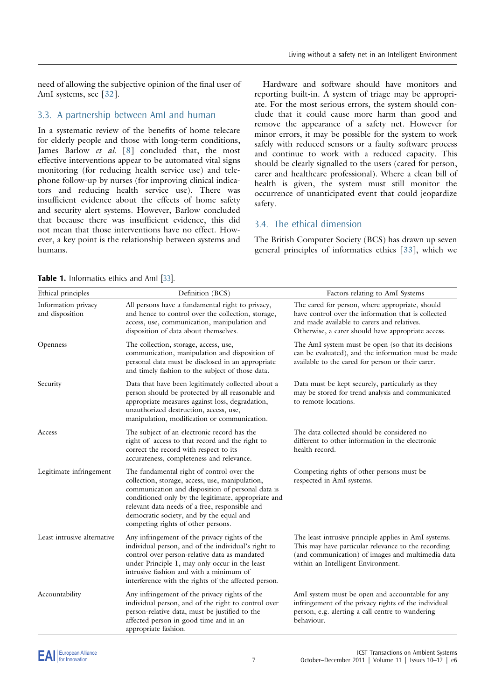<span id="page-6-0"></span>need of allowing the subjective opinion of the final user of AmI systems, see [[32](#page-8-0)].

## 3.3. A partnership between AmI and human

In a systematic review of the benefits of home telecare for elderly people and those with long-term conditions, James Barlow et al. [[8](#page-7-0)] concluded that, the most effective interventions appear to be automated vital signs monitoring (for reducing health service use) and telephone follow-up by nurses (for improving clinical indicators and reducing health service use). There was insufficient evidence about the effects of home safety and security alert systems. However, Barlow concluded that because there was insufficient evidence, this did not mean that those interventions have no effect. However, a key point is the relationship between systems and humans.

Hardware and software should have monitors and reporting built-in. A system of triage may be appropriate. For the most serious errors, the system should conclude that it could cause more harm than good and remove the appearance of a safety net. However for minor errors, it may be possible for the system to work safely with reduced sensors or a faulty software process and continue to work with a reduced capacity. This should be clearly signalled to the users (cared for person, carer and healthcare professional). Where a clean bill of health is given, the system must still monitor the occurrence of unanticipated event that could jeopardize safety.

# 3.4. The ethical dimension

The British Computer Society (BCS) has drawn up seven general principles of informatics ethics [\[33\]](#page-8-0), which we

Table 1. Informatics ethics and AmI [\[33\]](#page-8-0).

| Ethical principles                     | Definition (BCS)                                                                                                                                                                                                                                                                                                                             | Factors relating to AmI Systems                                                                                                                                                                             |
|----------------------------------------|----------------------------------------------------------------------------------------------------------------------------------------------------------------------------------------------------------------------------------------------------------------------------------------------------------------------------------------------|-------------------------------------------------------------------------------------------------------------------------------------------------------------------------------------------------------------|
| Information privacy<br>and disposition | All persons have a fundamental right to privacy,<br>and hence to control over the collection, storage,<br>access, use, communication, manipulation and<br>disposition of data about themselves.                                                                                                                                              | The cared for person, where appropriate, should<br>have control over the information that is collected<br>and made available to carers and relatives.<br>Otherwise, a carer should have appropriate access. |
| Openness                               | The collection, storage, access, use,<br>communication, manipulation and disposition of<br>personal data must be disclosed in an appropriate<br>and timely fashion to the subject of those data.                                                                                                                                             | The AmI system must be open (so that its decisions<br>can be evaluated), and the information must be made<br>available to the cared for person or their carer.                                              |
| Security                               | Data that have been legitimately collected about a<br>person should be protected by all reasonable and<br>appropriate measures against loss, degradation,<br>unauthorized destruction, access, use,<br>manipulation, modification or communication.                                                                                          | Data must be kept securely, particularly as they<br>may be stored for trend analysis and communicated<br>to remote locations.                                                                               |
| Access                                 | The subject of an electronic record has the<br>right of access to that record and the right to<br>correct the record with respect to its<br>accurateness, completeness and relevance.                                                                                                                                                        | The data collected should be considered no<br>different to other information in the electronic<br>health record.                                                                                            |
| Legitimate infringement                | The fundamental right of control over the<br>collection, storage, access, use, manipulation,<br>communication and disposition of personal data is<br>conditioned only by the legitimate, appropriate and<br>relevant data needs of a free, responsible and<br>democratic society, and by the equal and<br>competing rights of other persons. | Competing rights of other persons must be<br>respected in AmI systems.                                                                                                                                      |
| Least intrusive alternative            | Any infringement of the privacy rights of the<br>individual person, and of the individual's right to<br>control over person-relative data as mandated<br>under Principle 1, may only occur in the least<br>intrusive fashion and with a minimum of<br>interference with the rights of the affected person.                                   | The least intrusive principle applies in AmI systems.<br>This may have particular relevance to the recording<br>(and communication) of images and multimedia data<br>within an Intelligent Environment.     |
| Accountability                         | Any infringement of the privacy rights of the<br>individual person, and of the right to control over<br>person-relative data, must be justified to the<br>affected person in good time and in an<br>appropriate fashion.                                                                                                                     | AmI system must be open and accountable for any<br>infringement of the privacy rights of the individual<br>person, e.g. alerting a call centre to wandering<br>behaviour.                                   |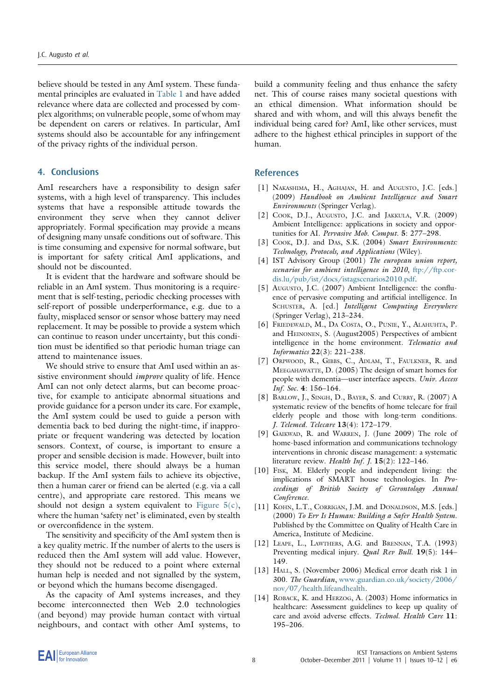<span id="page-7-0"></span>believe should be tested in any AmI system. These fundamental principles are evaluated in [Table 1](#page-6-0) and have added relevance where data are collected and processed by complex algorithms; on vulnerable people, some of whom may be dependent on carers or relatives. In particular, AmI systems should also be accountable for any infringement of the privacy rights of the individual person.

## 4. Conclusions

AmI researchers have a responsibility to design safer systems, with a high level of transparency. This includes systems that have a responsible attitude towards the environment they serve when they cannot deliver appropriately. Formal specification may provide a means of designing many unsafe conditions out of software. This is time consuming and expensive for normal software, but is important for safety critical AmI applications, and should not be discounted.

It is evident that the hardware and software should be reliable in an AmI system. Thus monitoring is a requirement that is self-testing, periodic checking processes with self-report of possible underperformance, e.g. due to a faulty, misplaced sensor or sensor whose battery may need replacement. It may be possible to provide a system which can continue to reason under uncertainty, but this condition must be identified so that periodic human triage can attend to maintenance issues.

We should strive to ensure that AmI used within an assistive environment should *improve* quality of life. Hence AmI can not only detect alarms, but can become proactive, for example to anticipate abnormal situations and provide guidance for a person under its care. For example, the AmI system could be used to guide a person with dementia back to bed during the night-time, if inappropriate or frequent wandering was detected by location sensors. Context, of course, is important to ensure a proper and sensible decision is made. However, built into this service model, there should always be a human backup. If the AmI system fails to achieve its objective, then a human carer or friend can be alerted (e.g. via a call centre), and appropriate care restored. This means we should not design a system equivalent to Figure  $5(c)$ , where the human 'safety net' is eliminated, even by stealth or overconfidence in the system.

The sensitivity and specificity of the AmI system then is a key quality metric. If the number of alerts to the users is reduced then the AmI system will add value. However, they should not be reduced to a point where external human help is needed and not signalled by the system, or beyond which the humans become disengaged.

As the capacity of AmI systems increases, and they become interconnected then Web 2.0 technologies (and beyond) may provide human contact with virtual neighbours, and contact with other AmI systems, to build a community feeling and thus enhance the safety net. This of course raises many societal questions with an ethical dimension. What information should be shared and with whom, and will this always benefit the individual being cared for? AmI, like other services, must adhere to the highest ethical principles in support of the human.

# References

- [1] NAKASHIMA, H., AGHAJAN, H. and AUGUSTO, J.C. [eds.] (2009) Handbook on Ambient Intelligence and Smart Environments (Springer Verlag).
- [2] COOK, D.J., AUGUSTO, J.C. and JAKKULA, V.R. (2009) Ambient Intelligence: applications in society and opportunities for AI. Pervasive Mob. Comput. 5: 277–298.
- [3] COOK, D.J. and DAS, S.K. (2004) Smart Environments: Technology, Protocols, and Applications (Wiley).
- [4] IST Advisory Group (2001) The european union report, scenarios for ambient intelligence in 2010, [ftp://ftp.cor](http://ftp://ftp.cordis.lu/pub/ist/docs/istagscenarios2010.pdf)[dis.lu/pub/ist/docs/istagscenarios2010.pdf](http://ftp://ftp.cordis.lu/pub/ist/docs/istagscenarios2010.pdf).
- [5] Augusto, J.C. (2007) Ambient Intelligence: the confluence of pervasive computing and artificial intelligence. In SCHUSTER, A. [ed.] Intelligent Computing Everywhere (Springer Verlag), 213–234.
- [6] FRIEDEWALD, M., DA COSTA, O., PUNIE, Y., ALAHUHTA, P. and HEINONEN, S. (August2005) Perspectives of ambient intelligence in the home environment. Telematics and Informatics 22(3): 221–238.
- [7] ORPWOOD, R., GIBBS, C., ADLAM, T., FAULKNER, R. and MEEGAHAWATTE, D. (2005) The design of smart homes for people with dementia—user interface aspects. Univ. Access Inf. Soc. 4: 156–164.
- [8] BARLOW, J., SINGH, D., BAYER, S. and CURRY, R. (2007) A systematic review of the benefits of home telecare for frail elderly people and those with long-term conditions. J. Telemed. Telecare 13(4): 172–179.
- [9] GAIKWAD, R. and WARREN, J. (June 2009) The role of home-based information and communications technology interventions in chronic disease management: a systematic literature review. Health Inf. J.  $15(2)$ :  $122-146$ .
- [10] FISK, M. Elderly people and independent living: the implications of SMART house technologies. In Proceedings of British Society of Gerontology Annual Conference.
- [11] KOHN, L.T., CORRIGAN, J.M. and DONALDSON, M.S. [eds.] (2000) To Err Is Human: Building a Safer Health System. Published by the Committee on Quality of Health Care in America, Institute of Medicine.
- [12] LEAPE, L., LAWTHERS, A.G. and BRENNAN, T.A. (1993) Preventing medical injury. *Qual Rev Bull.* 19(5): 144– 149.
- [13] HALL, S. (November 2006) Medical error death risk 1 in 300. The Guardian, [www.guardian.co.uk/society/2006/](http://www.guardian.co.uk/society/2006/nov/07/health.lifeandhealth) [nov/07/health.lifeandhealth](http://www.guardian.co.uk/society/2006/nov/07/health.lifeandhealth).
- [14] ROBACK, K. and HERZOG, A. (2003) Home informatics in healthcare: Assessment guidelines to keep up quality of care and avoid adverse effects. Technol. Health Care 11: 195–206.